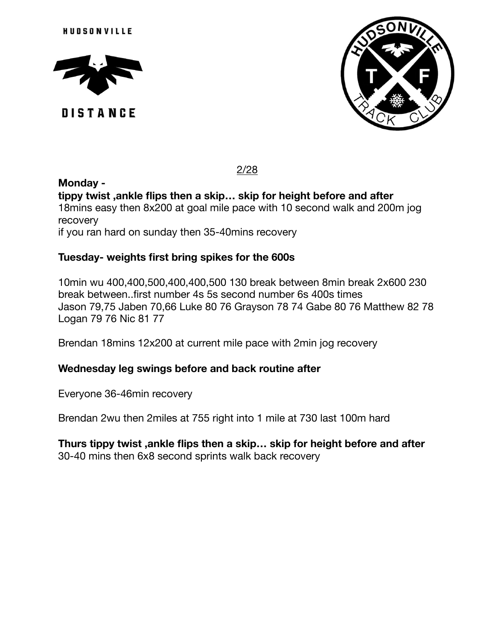

**DISTANCE** 



# 2/28

**Monday tippy twist ,ankle flips then a skip… skip for height before and after**  18mins easy then 8x200 at goal mile pace with 10 second walk and 200m jog recovery if you ran hard on sunday then 35-40mins recovery

# **Tuesday- weights first bring spikes for the 600s**

10min wu 400,400,500,400,400,500 130 break between 8min break 2x600 230 break between..first number 4s 5s second number 6s 400s times Jason 79,75 Jaben 70,66 Luke 80 76 Grayson 78 74 Gabe 80 76 Matthew 82 78 Logan 79 76 Nic 81 77

Brendan 18mins 12x200 at current mile pace with 2min jog recovery

### **Wednesday leg swings before and back routine after**

Everyone 36-46min recovery

Brendan 2wu then 2miles at 755 right into 1 mile at 730 last 100m hard

#### **Thurs tippy twist ,ankle flips then a skip… skip for height before and after**  30-40 mins then 6x8 second sprints walk back recovery